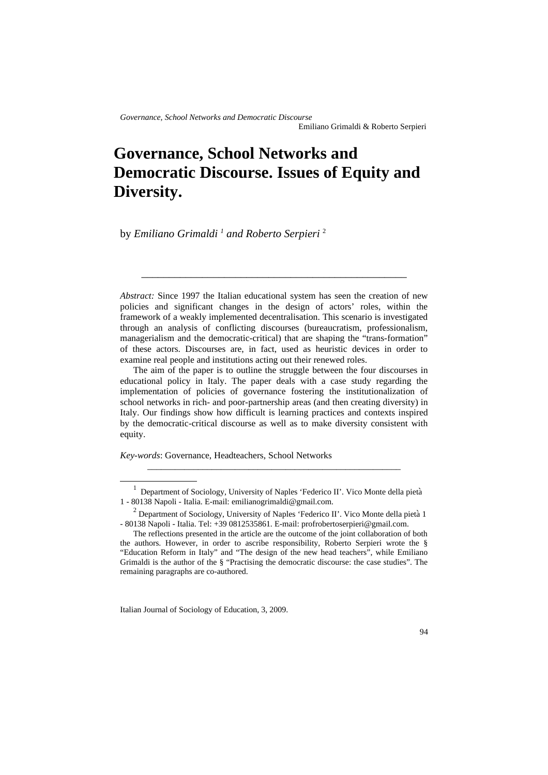# **Governance, School Networks and Democratic Discourse. Issues of Equity and Diversity.**

by *Emiliano Grimaldi [1](#page-0-0) and Roberto Serpieri* [2](#page-0-1)

*Abstract:* Since 1997 the Italian educational system has seen the creation of new policies and significant changes in the design of actors' roles, within the framework of a weakly implemented decentralisation. This scenario is investigated through an analysis of conflicting discourses (bureaucratism, professionalism, managerialism and the democratic-critical) that are shaping the "trans-formation" of these actors. Discourses are, in fact, used as heuristic devices in order to examine real people and institutions acting out their renewed roles.

\_\_\_\_\_\_\_\_\_\_\_\_\_\_\_\_\_\_\_\_\_\_\_\_\_\_\_\_\_\_\_\_\_\_\_\_\_\_\_\_\_\_\_\_\_\_\_\_

The aim of the paper is to outline the struggle between the four discourses in educational policy in Italy. The paper deals with a case study regarding the implementation of policies of governance fostering the institutionalization of school networks in rich- and poor-partnership areas (and then creating diversity) in Italy. Our findings show how difficult is learning practices and contexts inspired by the democratic-critical discourse as well as to make diversity consistent with equity.

*Key-words*: Governance, Headteachers, School Networks

\_\_\_\_\_\_\_\_\_\_\_\_\_\_\_\_\_\_\_\_\_\_\_\_\_\_\_\_\_\_\_\_\_\_\_\_\_\_\_\_\_\_\_\_\_\_\_\_\_\_\_\_\_\_\_

<span id="page-0-0"></span><sup>&</sup>lt;sup>1</sup> Department of Sociology, University of Naples 'Federico II'. Vico Monte della pietà 1 - 80138 Napoli - Italia. E-mail: emilianogrimaldi@gmail.com.

<span id="page-0-1"></span><sup>&</sup>lt;sup>2</sup> Department of Sociology, University of Naples 'Federico II'. Vico Monte della pietà 1 - 80138 Napoli - Italia. Tel: +39 0812535861. E-mail: profrobertoserpieri@gmail.com.

The reflections presented in the article are the outcome of the joint collaboration of both the authors. However, in order to ascribe responsibility, Roberto Serpieri wrote the § "Education Reform in Italy" and "The design of the new head teachers", while Emiliano Grimaldi is the author of the § "Practising the democratic discourse: the case studies". The remaining paragraphs are co-authored.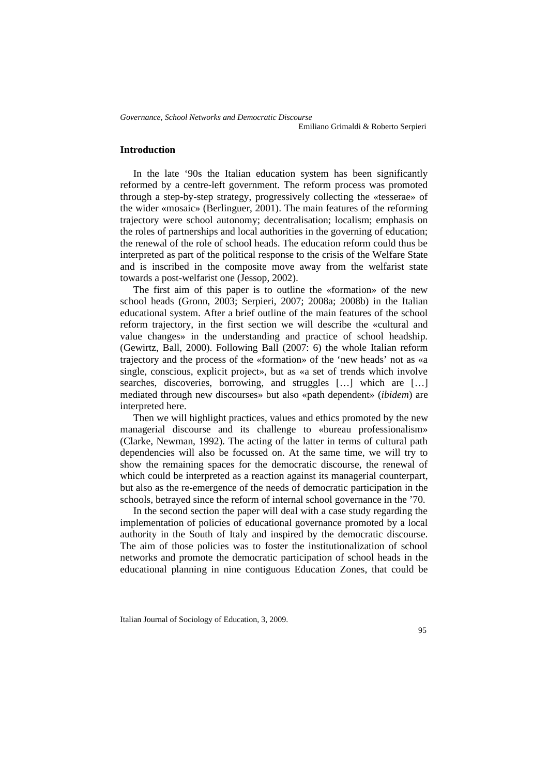Emiliano Grimaldi & Roberto Serpieri

## **Introduction**

In the late '90s the Italian education system has been significantly reformed by a centre-left government. The reform process was promoted through a step-by-step strategy, progressively collecting the «tesserae» of the wider «mosaic» (Berlinguer, 2001). The main features of the reforming trajectory were school autonomy; decentralisation; localism; emphasis on the roles of partnerships and local authorities in the governing of education; the renewal of the role of school heads. The education reform could thus be interpreted as part of the political response to the crisis of the Welfare State and is inscribed in the composite move away from the welfarist state towards a post-welfarist one (Jessop, 2002).

The first aim of this paper is to outline the «formation» of the new school heads (Gronn, 2003; Serpieri, 2007; 2008a; 2008b) in the Italian educational system. After a brief outline of the main features of the school reform trajectory, in the first section we will describe the «cultural and value changes» in the understanding and practice of school headship. (Gewirtz, Ball, 2000). Following Ball (2007: 6) the whole Italian reform trajectory and the process of the «formation» of the 'new heads' not as «a single, conscious, explicit project», but as «a set of trends which involve searches, discoveries, borrowing, and struggles […] which are […] mediated through new discourses» but also «path dependent» (*ibidem*) are interpreted here.

Then we will highlight practices, values and ethics promoted by the new managerial discourse and its challenge to «bureau professionalism» (Clarke, Newman, 1992). The acting of the latter in terms of cultural path dependencies will also be focussed on. At the same time, we will try to show the remaining spaces for the democratic discourse, the renewal of which could be interpreted as a reaction against its managerial counterpart, but also as the re-emergence of the needs of democratic participation in the schools, betrayed since the reform of internal school governance in the '70.

In the second section the paper will deal with a case study regarding the implementation of policies of educational governance promoted by a local authority in the South of Italy and inspired by the democratic discourse. The aim of those policies was to foster the institutionalization of school networks and promote the democratic participation of school heads in the educational planning in nine contiguous Education Zones, that could be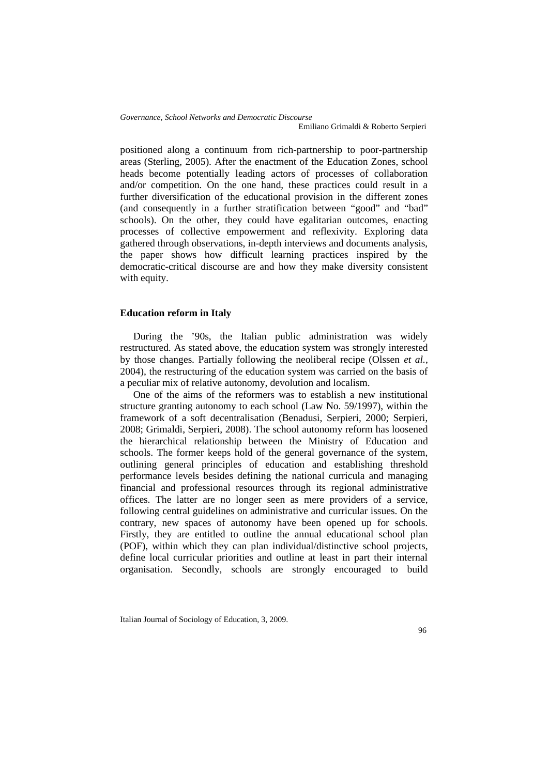*Governance, School Networks and Democratic Discourse* Emiliano Grimaldi & Roberto Serpieri

positioned along a continuum from rich-partnership to poor-partnership areas (Sterling, 2005). After the enactment of the Education Zones, school heads become potentially leading actors of processes of collaboration and/or competition. On the one hand, these practices could result in a further diversification of the educational provision in the different zones (and consequently in a further stratification between "good" and "bad" schools). On the other, they could have egalitarian outcomes, enacting processes of collective empowerment and reflexivity. Exploring data gathered through observations, in-depth interviews and documents analysis, the paper shows how difficult learning practices inspired by the democratic-critical discourse are and how they make diversity consistent with equity.

## **Education reform in Italy**

During the '90s, the Italian public administration was widely restructured. As stated above, the education system was strongly interested by those changes. Partially following the neoliberal recipe (Olssen *et al.*, 2004), the restructuring of the education system was carried on the basis of a peculiar mix of relative autonomy, devolution and localism.

One of the aims of the reformers was to establish a new institutional structure granting autonomy to each school (Law No. 59/1997), within the framework of a soft decentralisation (Benadusi, Serpieri, 2000; Serpieri, 2008; Grimaldi, Serpieri, 2008). The school autonomy reform has loosened the hierarchical relationship between the Ministry of Education and schools. The former keeps hold of the general governance of the system, outlining general principles of education and establishing threshold performance levels besides defining the national curricula and managing financial and professional resources through its regional administrative offices. The latter are no longer seen as mere providers of a service, following central guidelines on administrative and curricular issues. On the contrary, new spaces of autonomy have been opened up for schools. Firstly, they are entitled to outline the annual educational school plan (POF), within which they can plan individual/distinctive school projects, define local curricular priorities and outline at least in part their internal organisation. Secondly, schools are strongly encouraged to build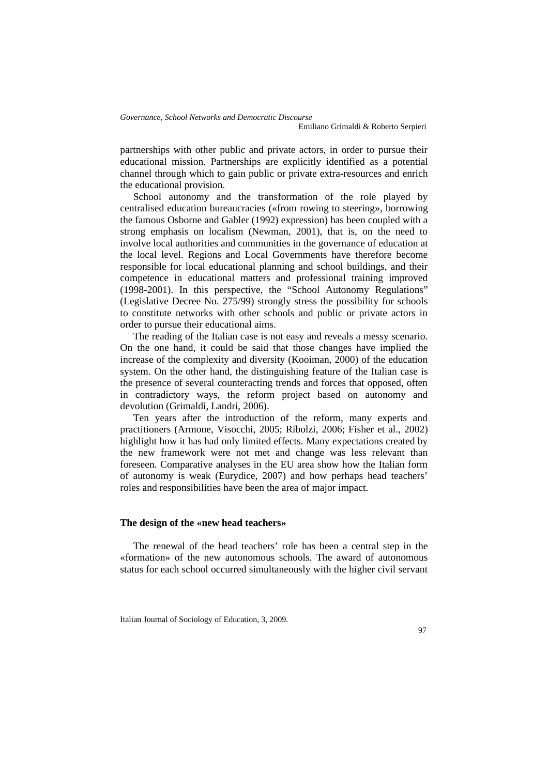partnerships with other public and private actors, in order to pursue their educational mission. Partnerships are explicitly identified as a potential channel through which to gain public or private extra-resources and enrich the educational provision.

School autonomy and the transformation of the role played by centralised education bureaucracies («from rowing to steering», borrowing the famous Osborne and Gabler (1992) expression) has been coupled with a strong emphasis on localism (Newman, 2001), that is, on the need to involve local authorities and communities in the governance of education at the local level. Regions and Local Governments have therefore become responsible for local educational planning and school buildings, and their competence in educational matters and professional training improved (1998-2001). In this perspective, the "School Autonomy Regulations" (Legislative Decree No. 275/99) strongly stress the possibility for schools to constitute networks with other schools and public or private actors in order to pursue their educational aims.

The reading of the Italian case is not easy and reveals a messy scenario. On the one hand, it could be said that those changes have implied the increase of the complexity and diversity (Kooiman, 2000) of the education system. On the other hand, the distinguishing feature of the Italian case is the presence of several counteracting trends and forces that opposed, often in contradictory ways, the reform project based on autonomy and devolution (Grimaldi, Landri, 2006).

Ten years after the introduction of the reform, many experts and practitioners (Armone, Visocchi, 2005; Ribolzi, 2006; Fisher et al., 2002) highlight how it has had only limited effects. Many expectations created by the new framework were not met and change was less relevant than foreseen. Comparative analyses in the EU area show how the Italian form of autonomy is weak (Eurydice, 2007) and how perhaps head teachers' roles and responsibilities have been the area of major impact.

## **The design of the «new head teachers»**

The renewal of the head teachers' role has been a central step in the «formation» of the new autonomous schools. The award of autonomous status for each school occurred simultaneously with the higher civil servant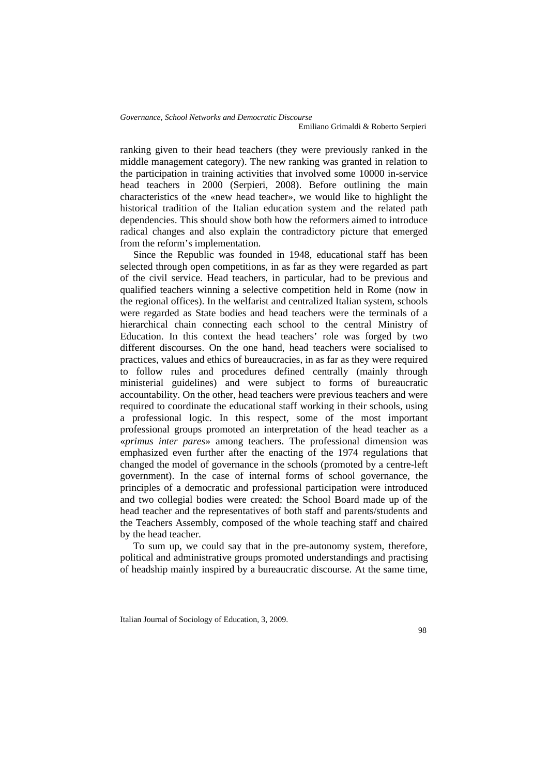ranking given to their head teachers (they were previously ranked in the middle management category). The new ranking was granted in relation to the participation in training activities that involved some 10000 in-service head teachers in 2000 (Serpieri, 2008). Before outlining the main characteristics of the «new head teacher», we would like to highlight the historical tradition of the Italian education system and the related path dependencies. This should show both how the reformers aimed to introduce radical changes and also explain the contradictory picture that emerged from the reform's implementation.

Since the Republic was founded in 1948, educational staff has been selected through open competitions, in as far as they were regarded as part of the civil service. Head teachers, in particular, had to be previous and qualified teachers winning a selective competition held in Rome (now in the regional offices). In the welfarist and centralized Italian system, schools were regarded as State bodies and head teachers were the terminals of a hierarchical chain connecting each school to the central Ministry of Education. In this context the head teachers' role was forged by two different discourses. On the one hand, head teachers were socialised to practices, values and ethics of bureaucracies, in as far as they were required to follow rules and procedures defined centrally (mainly through ministerial guidelines) and were subject to forms of bureaucratic accountability. On the other, head teachers were previous teachers and were required to coordinate the educational staff working in their schools, using a professional logic. In this respect, some of the most important professional groups promoted an interpretation of the head teacher as a «*primus inter pares*» among teachers. The professional dimension was emphasized even further after the enacting of the 1974 regulations that changed the model of governance in the schools (promoted by a centre-left government). In the case of internal forms of school governance, the principles of a democratic and professional participation were introduced and two collegial bodies were created: the School Board made up of the head teacher and the representatives of both staff and parents/students and the Teachers Assembly, composed of the whole teaching staff and chaired by the head teacher.

To sum up, we could say that in the pre-autonomy system, therefore, political and administrative groups promoted understandings and practising of headship mainly inspired by a bureaucratic discourse. At the same time,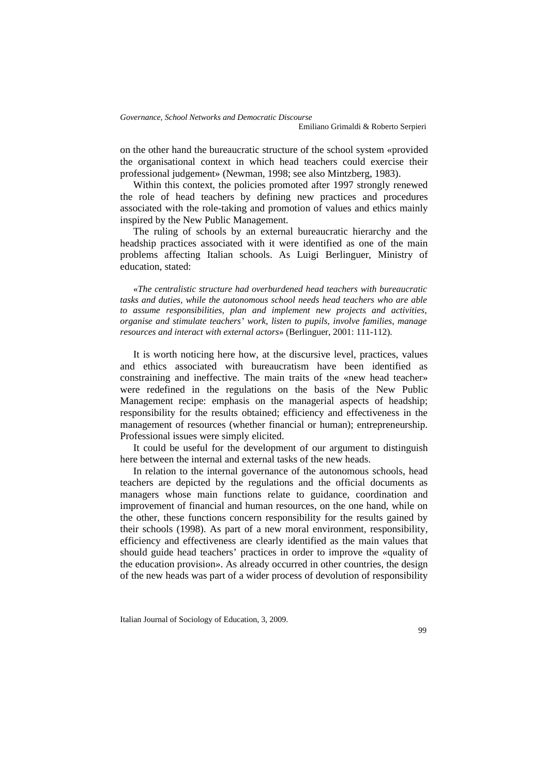on the other hand the bureaucratic structure of the school system «provided the organisational context in which head teachers could exercise their professional judgement» (Newman, 1998; see also Mintzberg, 1983).

Within this context, the policies promoted after 1997 strongly renewed the role of head teachers by defining new practices and procedures associated with the role-taking and promotion of values and ethics mainly inspired by the New Public Management.

The ruling of schools by an external bureaucratic hierarchy and the headship practices associated with it were identified as one of the main problems affecting Italian schools. As Luigi Berlinguer, Ministry of education, stated:

«*The centralistic structure had overburdened head teachers with bureaucratic tasks and duties, while the autonomous school needs head teachers who are able to assume responsibilities, plan and implement new projects and activities, organise and stimulate teachers' work, listen to pupils, involve families, manage resources and interact with external actors*» (Berlinguer, 2001: 111-112).

It is worth noticing here how, at the discursive level, practices, values and ethics associated with bureaucratism have been identified as constraining and ineffective. The main traits of the «new head teacher» were redefined in the regulations on the basis of the New Public Management recipe: emphasis on the managerial aspects of headship; responsibility for the results obtained; efficiency and effectiveness in the management of resources (whether financial or human); entrepreneurship. Professional issues were simply elicited.

It could be useful for the development of our argument to distinguish here between the internal and external tasks of the new heads.

In relation to the internal governance of the autonomous schools, head teachers are depicted by the regulations and the official documents as managers whose main functions relate to guidance, coordination and improvement of financial and human resources, on the one hand, while on the other, these functions concern responsibility for the results gained by their schools (1998). As part of a new moral environment, responsibility, efficiency and effectiveness are clearly identified as the main values that should guide head teachers' practices in order to improve the «quality of the education provision». As already occurred in other countries, the design of the new heads was part of a wider process of devolution of responsibility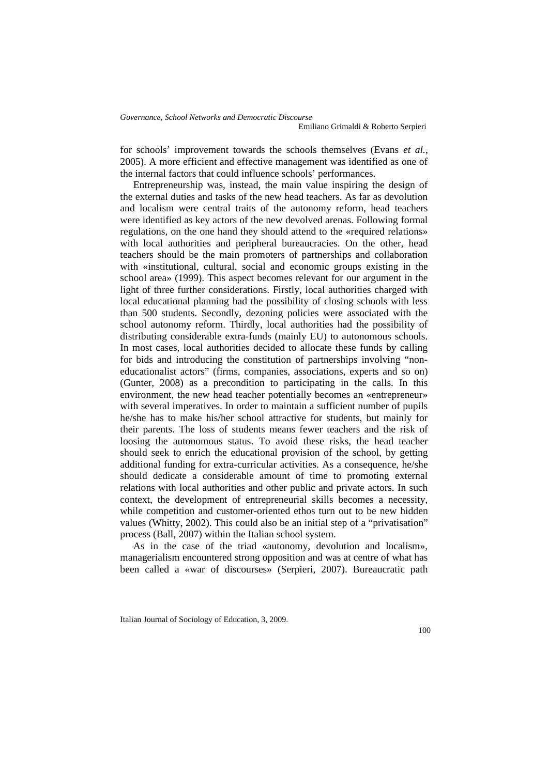for schools' improvement towards the schools themselves (Evans *et al.*, 2005). A more efficient and effective management was identified as one of the internal factors that could influence schools' performances.

Entrepreneurship was, instead, the main value inspiring the design of the external duties and tasks of the new head teachers. As far as devolution and localism were central traits of the autonomy reform, head teachers were identified as key actors of the new devolved arenas. Following formal regulations, on the one hand they should attend to the «required relations» with local authorities and peripheral bureaucracies. On the other, head teachers should be the main promoters of partnerships and collaboration with «institutional, cultural, social and economic groups existing in the school area» (1999). This aspect becomes relevant for our argument in the light of three further considerations. Firstly, local authorities charged with local educational planning had the possibility of closing schools with less than 500 students. Secondly, dezoning policies were associated with the school autonomy reform. Thirdly, local authorities had the possibility of distributing considerable extra-funds (mainly EU) to autonomous schools. In most cases, local authorities decided to allocate these funds by calling for bids and introducing the constitution of partnerships involving "noneducationalist actors" (firms, companies, associations, experts and so on) (Gunter, 2008) as a precondition to participating in the calls. In this environment, the new head teacher potentially becomes an «entrepreneur» with several imperatives. In order to maintain a sufficient number of pupils he/she has to make his/her school attractive for students, but mainly for their parents. The loss of students means fewer teachers and the risk of loosing the autonomous status. To avoid these risks, the head teacher should seek to enrich the educational provision of the school, by getting additional funding for extra-curricular activities. As a consequence, he/she should dedicate a considerable amount of time to promoting external relations with local authorities and other public and private actors. In such context, the development of entrepreneurial skills becomes a necessity, while competition and customer-oriented ethos turn out to be new hidden values (Whitty, 2002). This could also be an initial step of a "privatisation" process (Ball, 2007) within the Italian school system.

As in the case of the triad «autonomy, devolution and localism», managerialism encountered strong opposition and was at centre of what has been called a «war of discourses» (Serpieri, 2007). Bureaucratic path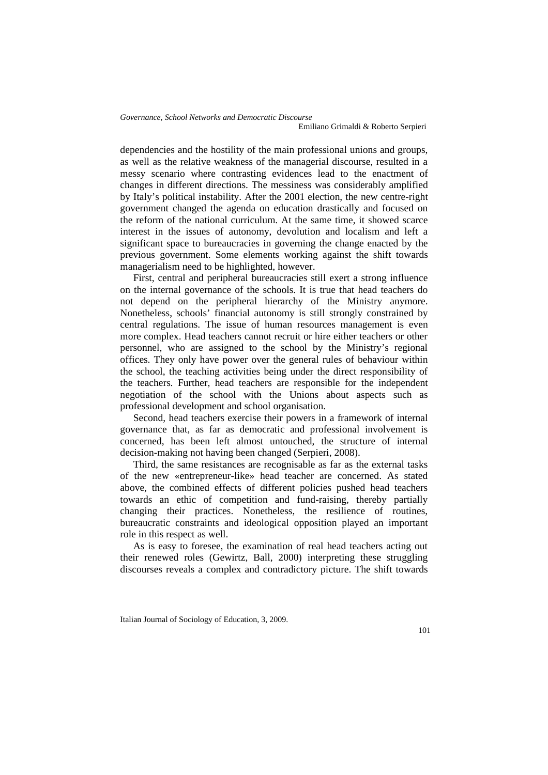dependencies and the hostility of the main professional unions and groups, as well as the relative weakness of the managerial discourse, resulted in a messy scenario where contrasting evidences lead to the enactment of changes in different directions. The messiness was considerably amplified by Italy's political instability. After the 2001 election, the new centre-right government changed the agenda on education drastically and focused on the reform of the national curriculum. At the same time, it showed scarce interest in the issues of autonomy, devolution and localism and left a significant space to bureaucracies in governing the change enacted by the previous government. Some elements working against the shift towards managerialism need to be highlighted, however.

First, central and peripheral bureaucracies still exert a strong influence on the internal governance of the schools. It is true that head teachers do not depend on the peripheral hierarchy of the Ministry anymore. Nonetheless, schools' financial autonomy is still strongly constrained by central regulations. The issue of human resources management is even more complex. Head teachers cannot recruit or hire either teachers or other personnel, who are assigned to the school by the Ministry's regional offices. They only have power over the general rules of behaviour within the school, the teaching activities being under the direct responsibility of the teachers. Further, head teachers are responsible for the independent negotiation of the school with the Unions about aspects such as professional development and school organisation.

Second, head teachers exercise their powers in a framework of internal governance that, as far as democratic and professional involvement is concerned, has been left almost untouched, the structure of internal decision-making not having been changed (Serpieri, 2008).

Third, the same resistances are recognisable as far as the external tasks of the new «entrepreneur-like» head teacher are concerned. As stated above, the combined effects of different policies pushed head teachers towards an ethic of competition and fund-raising, thereby partially changing their practices. Nonetheless, the resilience of routines, bureaucratic constraints and ideological opposition played an important role in this respect as well.

As is easy to foresee, the examination of real head teachers acting out their renewed roles (Gewirtz, Ball, 2000) interpreting these struggling discourses reveals a complex and contradictory picture. The shift towards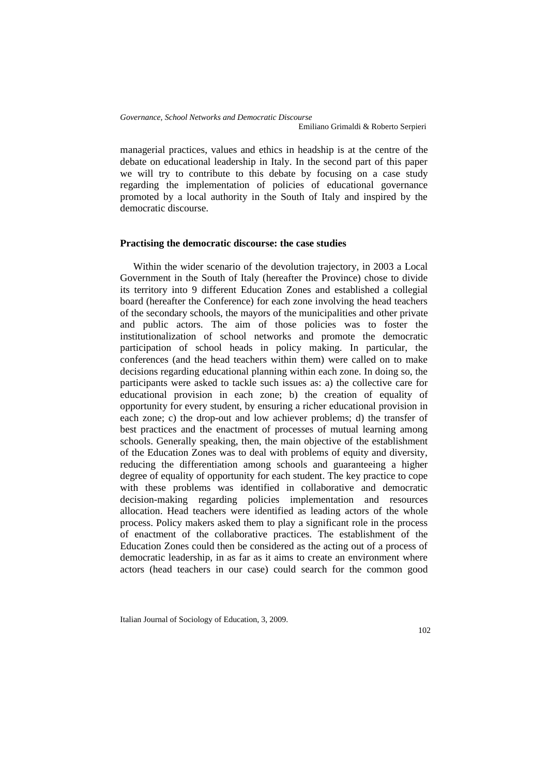managerial practices, values and ethics in headship is at the centre of the debate on educational leadership in Italy. In the second part of this paper we will try to contribute to this debate by focusing on a case study regarding the implementation of policies of educational governance promoted by a local authority in the South of Italy and inspired by the democratic discourse.

#### **Practising the democratic discourse: the case studies**

Within the wider scenario of the devolution trajectory, in 2003 a Local Government in the South of Italy (hereafter the Province) chose to divide its territory into 9 different Education Zones and established a collegial board (hereafter the Conference) for each zone involving the head teachers of the secondary schools, the mayors of the municipalities and other private and public actors. The aim of those policies was to foster the institutionalization of school networks and promote the democratic participation of school heads in policy making. In particular, the conferences (and the head teachers within them) were called on to make decisions regarding educational planning within each zone. In doing so, the participants were asked to tackle such issues as: a) the collective care for educational provision in each zone; b) the creation of equality of opportunity for every student, by ensuring a richer educational provision in each zone; c) the drop-out and low achiever problems; d) the transfer of best practices and the enactment of processes of mutual learning among schools. Generally speaking, then, the main objective of the establishment of the Education Zones was to deal with problems of equity and diversity, reducing the differentiation among schools and guaranteeing a higher degree of equality of opportunity for each student. The key practice to cope with these problems was identified in collaborative and democratic decision-making regarding policies implementation and resources allocation. Head teachers were identified as leading actors of the whole process. Policy makers asked them to play a significant role in the process of enactment of the collaborative practices. The establishment of the Education Zones could then be considered as the acting out of a process of democratic leadership, in as far as it aims to create an environment where actors (head teachers in our case) could search for the common good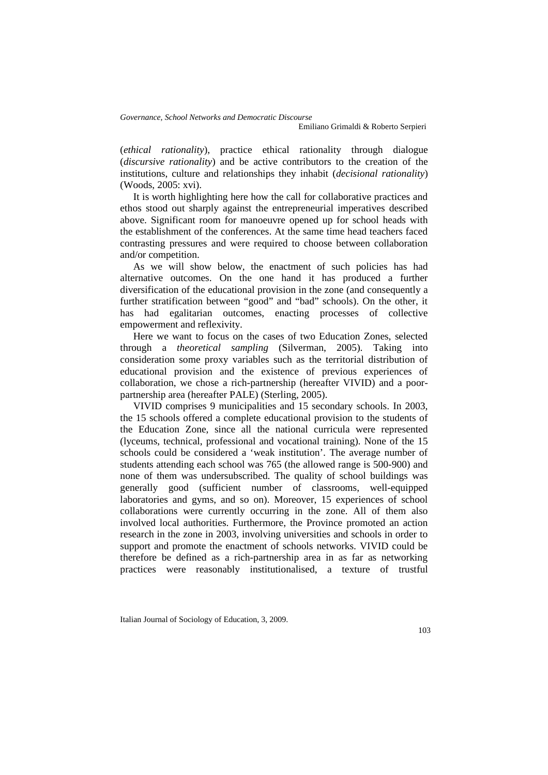(*ethical rationality*), practice ethical rationality through dialogue (*discursive rationality*) and be active contributors to the creation of the institutions, culture and relationships they inhabit (*decisional rationality*) (Woods, 2005: xvi).

It is worth highlighting here how the call for collaborative practices and ethos stood out sharply against the entrepreneurial imperatives described above. Significant room for manoeuvre opened up for school heads with the establishment of the conferences. At the same time head teachers faced contrasting pressures and were required to choose between collaboration and/or competition.

As we will show below, the enactment of such policies has had alternative outcomes. On the one hand it has produced a further diversification of the educational provision in the zone (and consequently a further stratification between "good" and "bad" schools). On the other, it has had egalitarian outcomes, enacting processes of collective empowerment and reflexivity.

Here we want to focus on the cases of two Education Zones, selected through a *theoretical sampling* (Silverman, 2005). Taking into consideration some proxy variables such as the territorial distribution of educational provision and the existence of previous experiences of collaboration, we chose a rich-partnership (hereafter VIVID) and a poorpartnership area (hereafter PALE) (Sterling, 2005).

VIVID comprises 9 municipalities and 15 secondary schools. In 2003, the 15 schools offered a complete educational provision to the students of the Education Zone, since all the national curricula were represented (lyceums, technical, professional and vocational training). None of the 15 schools could be considered a 'weak institution'. The average number of students attending each school was 765 (the allowed range is 500-900) and none of them was undersubscribed. The quality of school buildings was generally good (sufficient number of classrooms, well-equipped laboratories and gyms, and so on). Moreover, 15 experiences of school collaborations were currently occurring in the zone. All of them also involved local authorities. Furthermore, the Province promoted an action research in the zone in 2003, involving universities and schools in order to support and promote the enactment of schools networks. VIVID could be therefore be defined as a rich-partnership area in as far as networking practices were reasonably institutionalised, a texture of trustful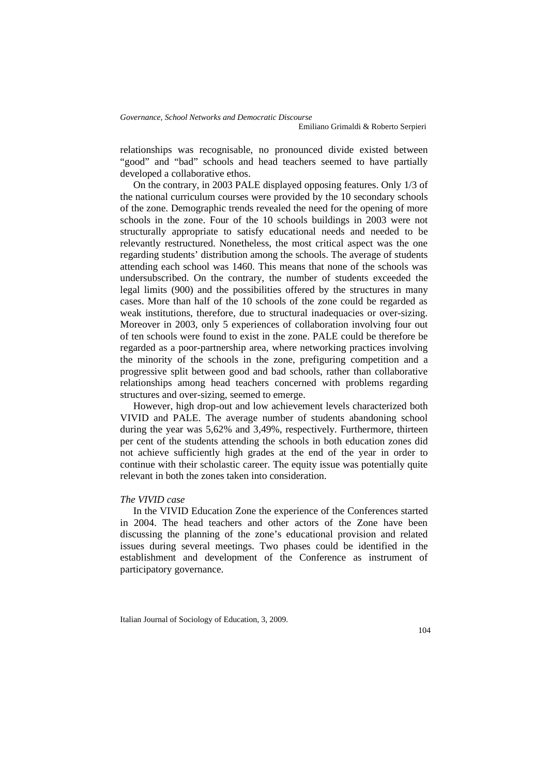relationships was recognisable, no pronounced divide existed between "good" and "bad" schools and head teachers seemed to have partially developed a collaborative ethos.

On the contrary, in 2003 PALE displayed opposing features. Only 1/3 of the national curriculum courses were provided by the 10 secondary schools of the zone. Demographic trends revealed the need for the opening of more schools in the zone. Four of the 10 schools buildings in 2003 were not structurally appropriate to satisfy educational needs and needed to be relevantly restructured. Nonetheless, the most critical aspect was the one regarding students' distribution among the schools. The average of students attending each school was 1460. This means that none of the schools was undersubscribed. On the contrary, the number of students exceeded the legal limits (900) and the possibilities offered by the structures in many cases. More than half of the 10 schools of the zone could be regarded as weak institutions, therefore, due to structural inadequacies or over-sizing. Moreover in 2003, only 5 experiences of collaboration involving four out of ten schools were found to exist in the zone. PALE could be therefore be regarded as a poor-partnership area, where networking practices involving the minority of the schools in the zone, prefiguring competition and a progressive split between good and bad schools, rather than collaborative relationships among head teachers concerned with problems regarding structures and over-sizing, seemed to emerge.

However, high drop-out and low achievement levels characterized both VIVID and PALE. The average number of students abandoning school during the year was 5,62% and 3,49%, respectively. Furthermore, thirteen per cent of the students attending the schools in both education zones did not achieve sufficiently high grades at the end of the year in order to continue with their scholastic career. The equity issue was potentially quite relevant in both the zones taken into consideration.

#### *The VIVID case*

In the VIVID Education Zone the experience of the Conferences started in 2004. The head teachers and other actors of the Zone have been discussing the planning of the zone's educational provision and related issues during several meetings. Two phases could be identified in the establishment and development of the Conference as instrument of participatory governance.

Italian Journal of Sociology of Education, 3, 2009.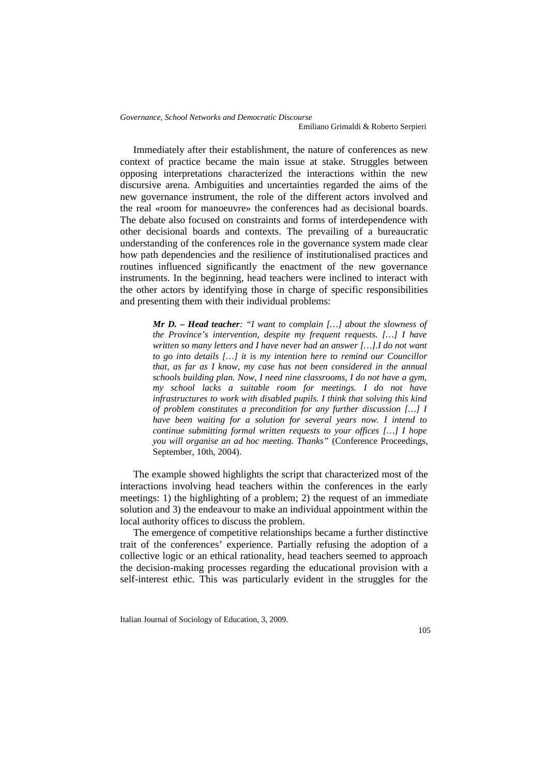*Governance, School Networks and Democratic Discourse* Emiliano Grimaldi & Roberto Serpieri

Immediately after their establishment, the nature of conferences as new context of practice became the main issue at stake. Struggles between opposing interpretations characterized the interactions within the new discursive arena. Ambiguities and uncertainties regarded the aims of the new governance instrument, the role of the different actors involved and the real «room for manoeuvre» the conferences had as decisional boards. The debate also focused on constraints and forms of interdependence with other decisional boards and contexts. The prevailing of a bureaucratic understanding of the conferences role in the governance system made clear how path dependencies and the resilience of institutionalised practices and routines influenced significantly the enactment of the new governance instruments. In the beginning, head teachers were inclined to interact with the other actors by identifying those in charge of specific responsibilities and presenting them with their individual problems:

> *Mr D. – Head teacher: "I want to complain […] about the slowness of the Province's intervention, despite my frequent requests. […] I have written so many letters and I have never had an answer […].I do not want to go into details […] it is my intention here to remind our Councillor that, as far as I know, my case has not been considered in the annual schools building plan. Now, I need nine classrooms, I do not have a gym, my school lacks a suitable room for meetings. I do not have infrastructures to work with disabled pupils. I think that solving this kind of problem constitutes a precondition for any further discussion […] I have been waiting for a solution for several years now. I intend to continue submitting formal written requests to your offices […] I hope you will organise an ad hoc meeting. Thanks"* (Conference Proceedings, September, 10th, 2004).

The example showed highlights the script that characterized most of the interactions involving head teachers within the conferences in the early meetings: 1) the highlighting of a problem; 2) the request of an immediate solution and 3) the endeavour to make an individual appointment within the local authority offices to discuss the problem.

The emergence of competitive relationships became a further distinctive trait of the conferences' experience. Partially refusing the adoption of a collective logic or an ethical rationality, head teachers seemed to approach the decision-making processes regarding the educational provision with a self-interest ethic. This was particularly evident in the struggles for the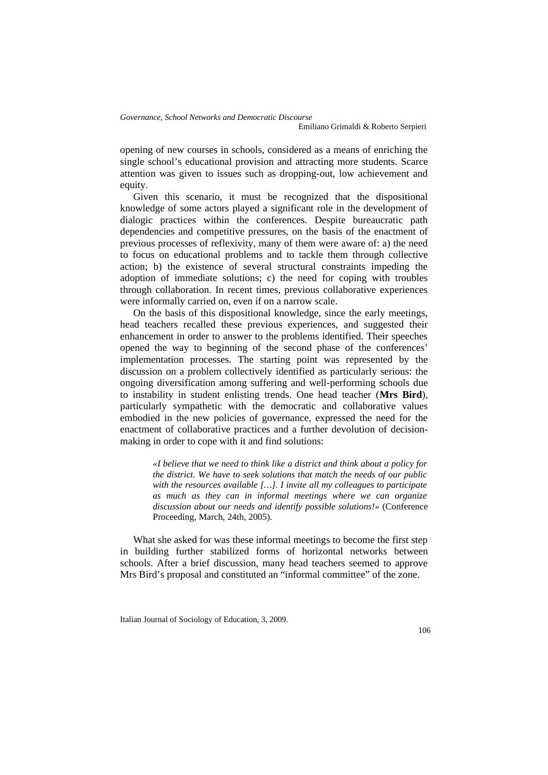Emiliano Grimaldi & Roberto Serpieri

opening of new courses in schools, considered as a means of enriching the single school's educational provision and attracting more students. Scarce attention was given to issues such as dropping-out, low achievement and equity.

Given this scenario, it must be recognized that the dispositional knowledge of some actors played a significant role in the development of dialogic practices within the conferences. Despite bureaucratic path dependencies and competitive pressures, on the basis of the enactment of previous processes of reflexivity, many of them were aware of: a) the need to focus on educational problems and to tackle them through collective action; b) the existence of several structural constraints impeding the adoption of immediate solutions; c) the need for coping with troubles through collaboration. In recent times, previous collaborative experiences were informally carried on, even if on a narrow scale.

On the basis of this dispositional knowledge, since the early meetings, head teachers recalled these previous experiences, and suggested their enhancement in order to answer to the problems identified. Their speeches opened the way to beginning of the second phase of the conferences' implementation processes. The starting point was represented by the discussion on a problem collectively identified as particularly serious: the ongoing diversification among suffering and well-performing schools due to instability in student enlisting trends. One head teacher (**Mrs Bird**), particularly sympathetic with the democratic and collaborative values embodied in the new policies of governance, expressed the need for the enactment of collaborative practices and a further devolution of decisionmaking in order to cope with it and find solutions:

> *«I believe that we need to think like a district and think about a policy for the district. We have to seek solutions that match the needs of our public with the resources available […]. I invite all my colleagues to participate as much as they can in informal meetings where we can organize discussion about our needs and identify possible solutions!»* (Conference Proceeding, March, 24th, 2005).

What she asked for was these informal meetings to become the first step in building further stabilized forms of horizontal networks between schools. After a brief discussion, many head teachers seemed to approve Mrs Bird's proposal and constituted an "informal committee" of the zone.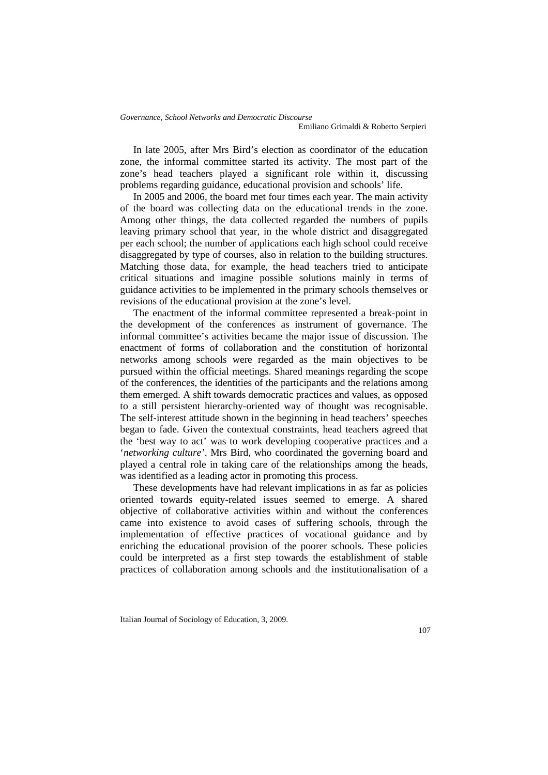In late 2005, after Mrs Bird's election as coordinator of the education zone, the informal committee started its activity. The most part of the zone's head teachers played a significant role within it, discussing problems regarding guidance, educational provision and schools' life.

In 2005 and 2006, the board met four times each year. The main activity of the board was collecting data on the educational trends in the zone. Among other things, the data collected regarded the numbers of pupils leaving primary school that year, in the whole district and disaggregated per each school; the number of applications each high school could receive disaggregated by type of courses, also in relation to the building structures. Matching those data, for example, the head teachers tried to anticipate critical situations and imagine possible solutions mainly in terms of guidance activities to be implemented in the primary schools themselves or revisions of the educational provision at the zone's level.

The enactment of the informal committee represented a break-point in the development of the conferences as instrument of governance. The informal committee's activities became the major issue of discussion. The enactment of forms of collaboration and the constitution of horizontal networks among schools were regarded as the main objectives to be pursued within the official meetings. Shared meanings regarding the scope of the conferences, the identities of the participants and the relations among them emerged. A shift towards democratic practices and values, as opposed to a still persistent hierarchy-oriented way of thought was recognisable. The self-interest attitude shown in the beginning in head teachers' speeches began to fade. Given the contextual constraints, head teachers agreed that the 'best way to act' was to work developing cooperative practices and a '*networking culture'*. Mrs Bird, who coordinated the governing board and played a central role in taking care of the relationships among the heads, was identified as a leading actor in promoting this process.

These developments have had relevant implications in as far as policies oriented towards equity-related issues seemed to emerge. A shared objective of collaborative activities within and without the conferences came into existence to avoid cases of suffering schools, through the implementation of effective practices of vocational guidance and by enriching the educational provision of the poorer schools. These policies could be interpreted as a first step towards the establishment of stable practices of collaboration among schools and the institutionalisation of a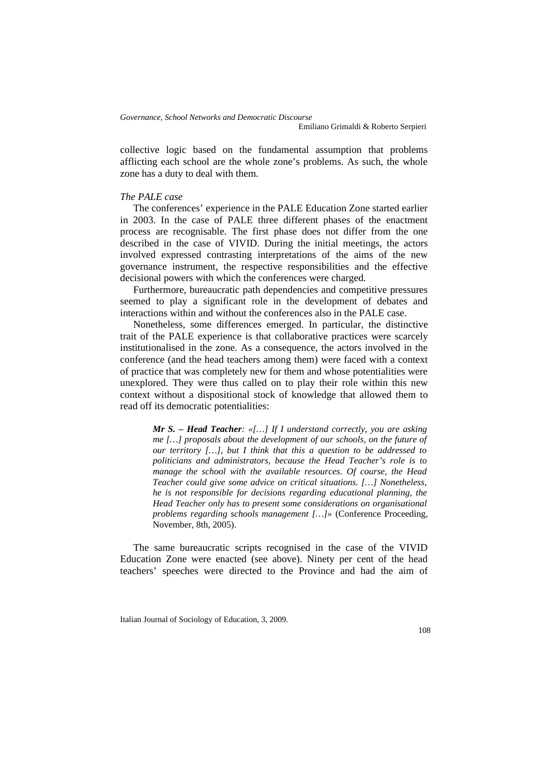collective logic based on the fundamental assumption that problems afflicting each school are the whole zone's problems. As such, the whole zone has a duty to deal with them.

## *The PALE case*

The conferences' experience in the PALE Education Zone started earlier in 2003. In the case of PALE three different phases of the enactment process are recognisable. The first phase does not differ from the one described in the case of VIVID. During the initial meetings, the actors involved expressed contrasting interpretations of the aims of the new governance instrument, the respective responsibilities and the effective decisional powers with which the conferences were charged.

Furthermore, bureaucratic path dependencies and competitive pressures seemed to play a significant role in the development of debates and interactions within and without the conferences also in the PALE case.

Nonetheless, some differences emerged. In particular, the distinctive trait of the PALE experience is that collaborative practices were scarcely institutionalised in the zone. As a consequence, the actors involved in the conference (and the head teachers among them) were faced with a context of practice that was completely new for them and whose potentialities were unexplored. They were thus called on to play their role within this new context without a dispositional stock of knowledge that allowed them to read off its democratic potentialities:

> *Mr S. – Head Teacher: «[…] If I understand correctly, you are asking me […] proposals about the development of our schools, on the future of our territory […], but I think that this a question to be addressed to politicians and administrators, because the Head Teacher's role is to manage the school with the available resources. Of course, the Head Teacher could give some advice on critical situations. […] Nonetheless, he is not responsible for decisions regarding educational planning, the Head Teacher only has to present some considerations on organisational problems regarding schools management […]»* (Conference Proceeding, November, 8th, 2005).

The same bureaucratic scripts recognised in the case of the VIVID Education Zone were enacted (see above). Ninety per cent of the head teachers' speeches were directed to the Province and had the aim of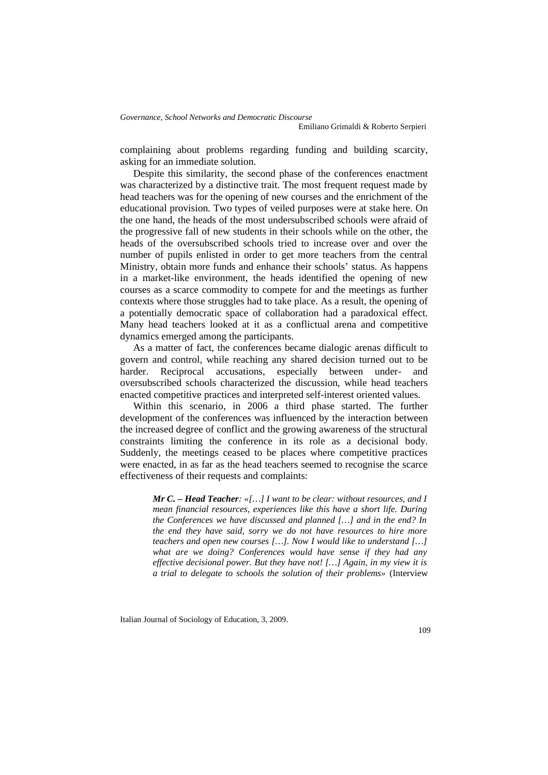complaining about problems regarding funding and building scarcity, asking for an immediate solution.

Despite this similarity, the second phase of the conferences enactment was characterized by a distinctive trait. The most frequent request made by head teachers was for the opening of new courses and the enrichment of the educational provision. Two types of veiled purposes were at stake here. On the one hand, the heads of the most undersubscribed schools were afraid of the progressive fall of new students in their schools while on the other, the heads of the oversubscribed schools tried to increase over and over the number of pupils enlisted in order to get more teachers from the central Ministry, obtain more funds and enhance their schools' status. As happens in a market-like environment, the heads identified the opening of new courses as a scarce commodity to compete for and the meetings as further contexts where those struggles had to take place. As a result, the opening of a potentially democratic space of collaboration had a paradoxical effect. Many head teachers looked at it as a conflictual arena and competitive dynamics emerged among the participants.

As a matter of fact, the conferences became dialogic arenas difficult to govern and control, while reaching any shared decision turned out to be harder. Reciprocal accusations, especially between under- and oversubscribed schools characterized the discussion, while head teachers enacted competitive practices and interpreted self-interest oriented values.

Within this scenario, in 2006 a third phase started. The further development of the conferences was influenced by the interaction between the increased degree of conflict and the growing awareness of the structural constraints limiting the conference in its role as a decisional body. Suddenly, the meetings ceased to be places where competitive practices were enacted, in as far as the head teachers seemed to recognise the scarce effectiveness of their requests and complaints:

> *Mr C. – Head Teacher: «[…] I want to be clear: without resources, and I mean financial resources, experiences like this have a short life. During the Conferences we have discussed and planned […] and in the end? In the end they have said, sorry we do not have resources to hire more teachers and open new courses […]. Now I would like to understand […] what are we doing? Conferences would have sense if they had any effective decisional power. But they have not! […] Again, in my view it is a trial to delegate to schools the solution of their problems»* (Interview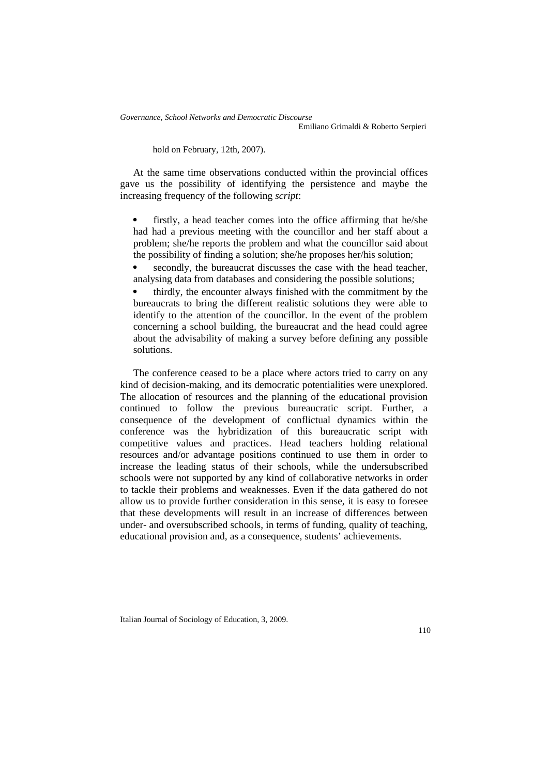Emiliano Grimaldi & Roberto Serpieri

hold on February, 12th, 2007).

At the same time observations conducted within the provincial offices gave us the possibility of identifying the persistence and maybe the increasing frequency of the following *script*:

 firstly, a head teacher comes into the office affirming that he/she had had a previous meeting with the councillor and her staff about a problem; she/he reports the problem and what the councillor said about the possibility of finding a solution; she/he proposes her/his solution;

 secondly, the bureaucrat discusses the case with the head teacher, analysing data from databases and considering the possible solutions;

 thirdly, the encounter always finished with the commitment by the bureaucrats to bring the different realistic solutions they were able to identify to the attention of the councillor. In the event of the problem concerning a school building, the bureaucrat and the head could agree about the advisability of making a survey before defining any possible solutions.

The conference ceased to be a place where actors tried to carry on any kind of decision-making, and its democratic potentialities were unexplored. The allocation of resources and the planning of the educational provision continued to follow the previous bureaucratic script. Further, a consequence of the development of conflictual dynamics within the conference was the hybridization of this bureaucratic script with competitive values and practices. Head teachers holding relational resources and/or advantage positions continued to use them in order to increase the leading status of their schools, while the undersubscribed schools were not supported by any kind of collaborative networks in order to tackle their problems and weaknesses. Even if the data gathered do not allow us to provide further consideration in this sense, it is easy to foresee that these developments will result in an increase of differences between under- and oversubscribed schools, in terms of funding, quality of teaching, educational provision and, as a consequence, students' achievements.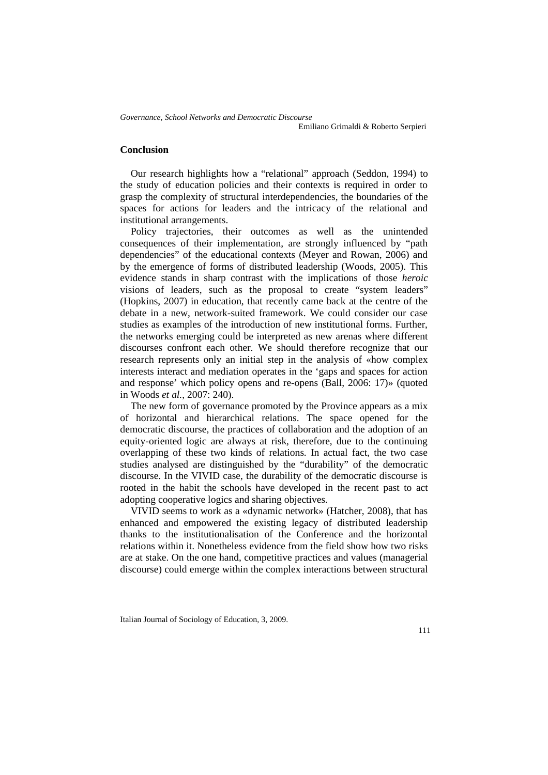Emiliano Grimaldi & Roberto Serpieri

## **Conclusion**

Our research highlights how a "relational" approach (Seddon, 1994) to the study of education policies and their contexts is required in order to grasp the complexity of structural interdependencies, the boundaries of the spaces for actions for leaders and the intricacy of the relational and institutional arrangements.

Policy trajectories, their outcomes as well as the unintended consequences of their implementation, are strongly influenced by "path dependencies" of the educational contexts (Meyer and Rowan, 2006) and by the emergence of forms of distributed leadership (Woods, 2005). This evidence stands in sharp contrast with the implications of those *heroic* visions of leaders, such as the proposal to create "system leaders" (Hopkins, 2007) in education, that recently came back at the centre of the debate in a new, network-suited framework. We could consider our case studies as examples of the introduction of new institutional forms. Further, the networks emerging could be interpreted as new arenas where different discourses confront each other. We should therefore recognize that our research represents only an initial step in the analysis of «how complex interests interact and mediation operates in the 'gaps and spaces for action and response' which policy opens and re-opens (Ball, 2006: 17)» (quoted in Woods *et al.*, 2007: 240).

The new form of governance promoted by the Province appears as a mix of horizontal and hierarchical relations. The space opened for the democratic discourse, the practices of collaboration and the adoption of an equity-oriented logic are always at risk, therefore, due to the continuing overlapping of these two kinds of relations. In actual fact, the two case studies analysed are distinguished by the "durability" of the democratic discourse. In the VIVID case, the durability of the democratic discourse is rooted in the habit the schools have developed in the recent past to act adopting cooperative logics and sharing objectives.

VIVID seems to work as a «dynamic network» (Hatcher, 2008), that has enhanced and empowered the existing legacy of distributed leadership thanks to the institutionalisation of the Conference and the horizontal relations within it. Nonetheless evidence from the field show how two risks are at stake. On the one hand, competitive practices and values (managerial discourse) could emerge within the complex interactions between structural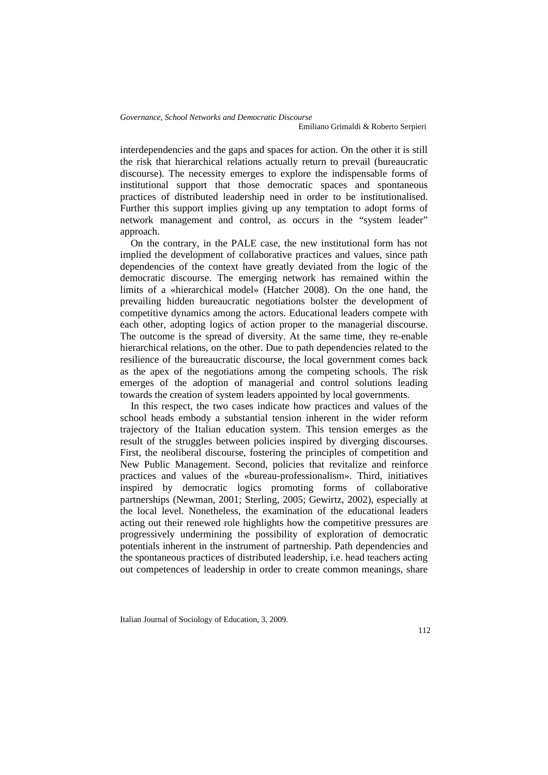interdependencies and the gaps and spaces for action. On the other it is still the risk that hierarchical relations actually return to prevail (bureaucratic discourse). The necessity emerges to explore the indispensable forms of institutional support that those democratic spaces and spontaneous practices of distributed leadership need in order to be institutionalised. Further this support implies giving up any temptation to adopt forms of network management and control, as occurs in the "system leader" approach.

On the contrary, in the PALE case, the new institutional form has not implied the development of collaborative practices and values, since path dependencies of the context have greatly deviated from the logic of the democratic discourse. The emerging network has remained within the limits of a «hierarchical model» (Hatcher 2008). On the one hand, the prevailing hidden bureaucratic negotiations bolster the development of competitive dynamics among the actors. Educational leaders compete with each other, adopting logics of action proper to the managerial discourse. The outcome is the spread of diversity. At the same time, they re-enable hierarchical relations, on the other. Due to path dependencies related to the resilience of the bureaucratic discourse, the local government comes back as the apex of the negotiations among the competing schools. The risk emerges of the adoption of managerial and control solutions leading towards the creation of system leaders appointed by local governments.

In this respect, the two cases indicate how practices and values of the school heads embody a substantial tension inherent in the wider reform trajectory of the Italian education system. This tension emerges as the result of the struggles between policies inspired by diverging discourses. First, the neoliberal discourse, fostering the principles of competition and New Public Management. Second, policies that revitalize and reinforce practices and values of the «bureau-professionalism». Third, initiatives inspired by democratic logics promoting forms of collaborative partnerships (Newman, 2001; Sterling, 2005; Gewirtz, 2002), especially at the local level. Nonetheless, the examination of the educational leaders acting out their renewed role highlights how the competitive pressures are progressively undermining the possibility of exploration of democratic potentials inherent in the instrument of partnership. Path dependencies and the spontaneous practices of distributed leadership, i.e. head teachers acting out competences of leadership in order to create common meanings, share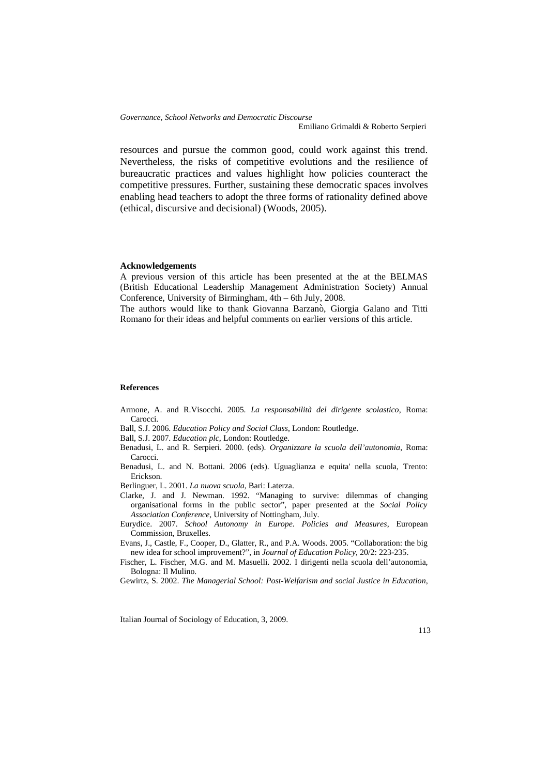Emiliano Grimaldi & Roberto Serpieri

resources and pursue the common good, could work against this trend. Nevertheless, the risks of competitive evolutions and the resilience of bureaucratic practices and values highlight how policies counteract the competitive pressures. Further, sustaining these democratic spaces involves enabling head teachers to adopt the three forms of rationality defined above (ethical, discursive and decisional) (Woods, 2005).

### **Acknowledgements**

A previous version of this article has been presented at the at the BELMAS (British Educational Leadership Management Administration Society) Annual Conference, University of Birmingham, 4th – 6th July, 2008.

The authors would like to thank Giovanna Barzanò, Giorgia Galano and Titti Romano for their ideas and helpful comments on earlier versions of this article.

#### **References**

- Armone, A. and R.Visocchi. 2005. *La responsabilità del dirigente scolastico*, Roma: Carocci.
- Ball, S.J. 2006. *Education Policy and Social Class*, London: Routledge.
- Ball, S.J. 2007. *Education plc*, London: Routledge.
- Benadusi, L. and R. Serpieri. 2000. (eds). *Organizzare la scuola dell'autonomia*, Roma: Carocci.
- Benadusi, L. and N. Bottani. 2006 (eds). Uguaglianza e equita' nella scuola, Trento: Erickson.

Berlinguer, L. 2001. *La nuova scuola*, Bari: Laterza.

- Clarke, J. and J. Newman. 1992. "Managing to survive: dilemmas of changing organisational forms in the public sector", paper presented at the *Social Policy Association Conference*, University of Nottingham, July.
- Eurydice. 2007. *School Autonomy in Europe. Policies and Measures*, European Commission, Bruxelles.
- Evans, J., Castle, F., Cooper, D., Glatter, R., and P.A. Woods. 2005. "Collaboration: the big new idea for school improvement?", in *Journal of Education Policy*, 20/2: 223-235.
- Fischer, L. Fischer, M.G. and M. Masuelli. 2002. I dirigenti nella scuola dell'autonomia, Bologna: Il Mulino.
- Gewirtz, S. 2002. *The Managerial School: Post-Welfarism and social Justice in Education*,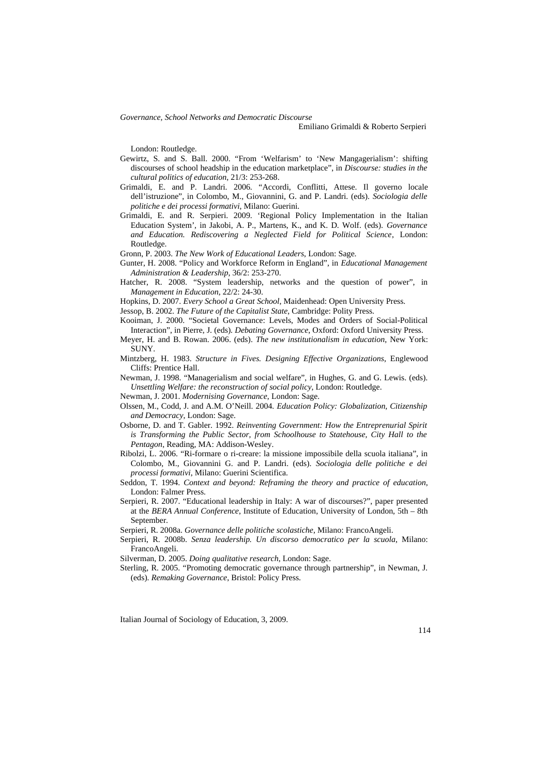Emiliano Grimaldi & Roberto Serpieri

London: Routledge.

- Gewirtz, S. and S. Ball. 2000. "From 'Welfarism' to 'New Mangagerialism': shifting discourses of school headship in the education marketplace", in *Discourse: studies in the cultural politics of education*, 21/3: 253-268.
- Grimaldi, E. and P. Landri. 2006. "Accordi, Conflitti, Attese. Il governo locale dell'istruzione", in Colombo, M., Giovannini, G. and P. Landri. (eds). *Sociologia delle politiche e dei processi formativi*, Milano: Guerini.
- Grimaldi, E. and R. Serpieri. 2009. 'Regional Policy Implementation in the Italian Education System', in Jakobi, A. P., Martens, K., and K. D. Wolf. (eds). *Governance and Education. Rediscovering a Neglected Field for Political Science*, London: Routledge.
- Gronn, P. 2003. *The New Work of Educational Leaders*, London: Sage.
- Gunter, H. 2008. "Policy and Workforce Reform in England", in *Educational Management Administration & Leadership*, 36/2: 253-270.
- Hatcher, R. 2008. "System leadership, networks and the question of power", in *Management in Education*, 22/2: 24-30.
- Hopkins, D. 2007. *Every School a Great School*, Maidenhead: Open University Press.
- Jessop, B. 2002. *The Future of the Capitalist State*, Cambridge: Polity Press.
- Kooiman, J. 2000. "Societal Governance: Levels, Modes and Orders of Social-Political Interaction", in Pierre, J. (eds). *Debating Governance*, Oxford: Oxford University Press.
- Meyer, H. and B. Rowan. 2006. (eds). *The new institutionalism in education*, New York: SUNY.
- Mintzberg, H. 1983. *Structure in Fives. Designing Effective Organizations*, Englewood Cliffs: Prentice Hall.
- Newman, J. 1998. "Managerialism and social welfare", in Hughes, G. and G. Lewis. (eds). *Unsettling Welfare: the reconstruction of social policy*, London: Routledge.
- Newman, J. 2001. *Modernising Governance*, London: Sage.
- Olssen, M., Codd, J. and A.M. O'Neill. 2004. *Education Policy: Globalization, Citizenship and Democracy*, London: Sage.
- Osborne, D. and T. Gabler. 1992. *Reinventing Government: How the Entreprenurial Spirit is Transforming the Public Sector, from Schoolhouse to Statehouse, City Hall to the Pentagon*, Reading, MA: Addison-Wesley.
- Ribolzi, L. 2006. "Ri-formare o ri-creare: la missione impossibile della scuola italiana", in Colombo, M., Giovannini G. and P. Landri. (eds). *Sociologia delle politiche e dei processi formativi*, Milano: Guerini Scientifica.
- Seddon, T. 1994. *Context and beyond: Reframing the theory and practice of education*, London: Falmer Press.
- Serpieri, R. 2007. "Educational leadership in Italy: A war of discourses?", paper presented at the *BERA Annual Conference*, Institute of Education, University of London, 5th – 8th September.
- Serpieri, R. 2008a. *Governance delle politiche scolastiche*, Milano: FrancoAngeli.
- Serpieri, R. 2008b. *Senza leadership. Un discorso democratico per la scuola*, Milano: FrancoAngeli.
- Silverman, D. 2005. *Doing qualitative research*, London: Sage.
- Sterling, R. 2005. "Promoting democratic governance through partnership", in Newman, J. (eds). *Remaking Governance*, Bristol: Policy Press.